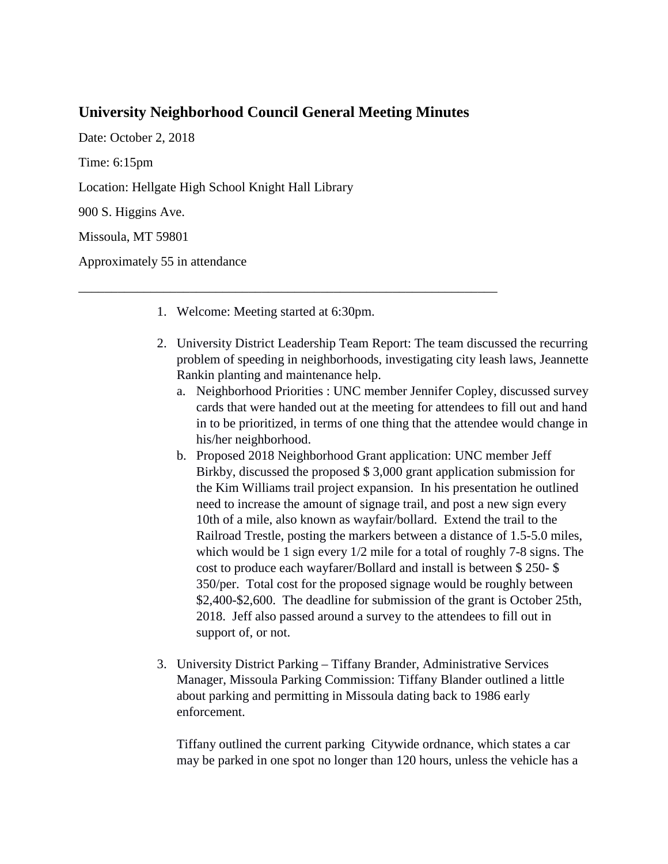## **University Neighborhood Council General Meeting Minutes**

Date: October 2, 2018 Time: 6:15pm Location: Hellgate High School Knight Hall Library 900 S. Higgins Ave. Missoula, MT 59801

Approximately 55 in attendance

1. Welcome: Meeting started at 6:30pm.

\_\_\_\_\_\_\_\_\_\_\_\_\_\_\_\_\_\_\_\_\_\_\_\_\_\_\_\_\_\_\_\_\_\_\_\_\_\_\_\_\_\_\_\_\_\_\_\_\_\_\_\_\_\_\_\_\_\_\_\_\_\_\_\_

- 2. University District Leadership Team Report: The team discussed the recurring problem of speeding in neighborhoods, investigating city leash laws, Jeannette Rankin planting and maintenance help.
	- a. Neighborhood Priorities : UNC member Jennifer Copley, discussed survey cards that were handed out at the meeting for attendees to fill out and hand in to be prioritized, in terms of one thing that the attendee would change in his/her neighborhood.
	- b. Proposed 2018 Neighborhood Grant application: UNC member Jeff Birkby, discussed the proposed \$ 3,000 grant application submission for the Kim Williams trail project expansion. In his presentation he outlined need to increase the amount of signage trail, and post a new sign every 10th of a mile, also known as wayfair/bollard. Extend the trail to the Railroad Trestle, posting the markers between a distance of 1.5-5.0 miles, which would be 1 sign every 1/2 mile for a total of roughly 7-8 signs. The cost to produce each wayfarer/Bollard and install is between \$ 250- \$ 350/per. Total cost for the proposed signage would be roughly between \$2,400-\$2,600. The deadline for submission of the grant is October 25th, 2018. Jeff also passed around a survey to the attendees to fill out in support of, or not.
- 3. University District Parking Tiffany Brander, Administrative Services Manager, Missoula Parking Commission: Tiffany Blander outlined a little about parking and permitting in Missoula dating back to 1986 early enforcement.

Tiffany outlined the current parking Citywide ordnance, which states a car may be parked in one spot no longer than 120 hours, unless the vehicle has a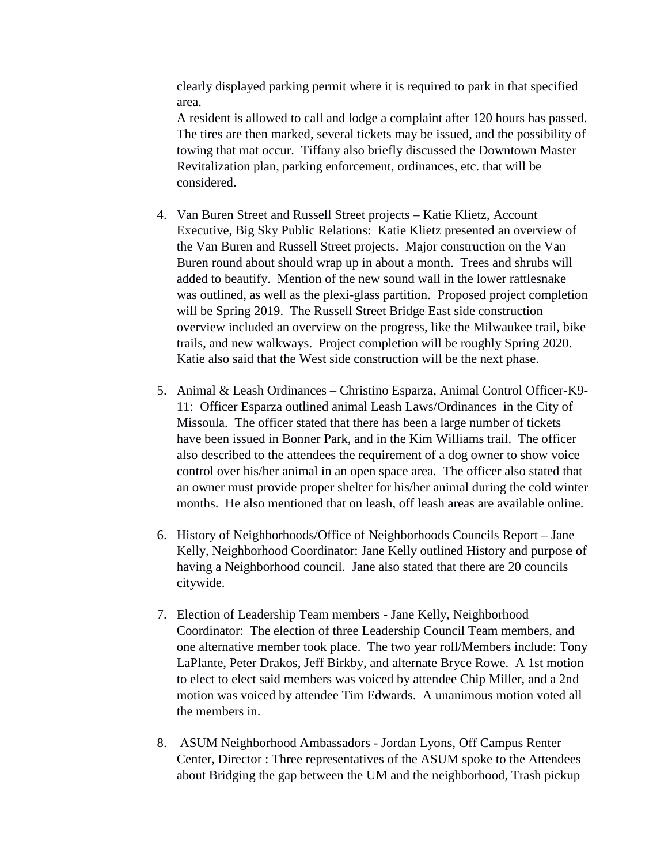clearly displayed parking permit where it is required to park in that specified area.

A resident is allowed to call and lodge a complaint after 120 hours has passed. The tires are then marked, several tickets may be issued, and the possibility of towing that mat occur. Tiffany also briefly discussed the Downtown Master Revitalization plan, parking enforcement, ordinances, etc. that will be considered.

- 4. Van Buren Street and Russell Street projects Katie Klietz, Account Executive, Big Sky Public Relations: Katie Klietz presented an overview of the Van Buren and Russell Street projects. Major construction on the Van Buren round about should wrap up in about a month. Trees and shrubs will added to beautify. Mention of the new sound wall in the lower rattlesnake was outlined, as well as the plexi-glass partition. Proposed project completion will be Spring 2019. The Russell Street Bridge East side construction overview included an overview on the progress, like the Milwaukee trail, bike trails, and new walkways. Project completion will be roughly Spring 2020. Katie also said that the West side construction will be the next phase.
- 5. Animal & Leash Ordinances Christino Esparza, Animal Control Officer-K9- 11: Officer Esparza outlined animal Leash Laws/Ordinances in the City of Missoula. The officer stated that there has been a large number of tickets have been issued in Bonner Park, and in the Kim Williams trail. The officer also described to the attendees the requirement of a dog owner to show voice control over his/her animal in an open space area. The officer also stated that an owner must provide proper shelter for his/her animal during the cold winter months. He also mentioned that on leash, off leash areas are available online.
- 6. History of Neighborhoods/Office of Neighborhoods Councils Report Jane Kelly, Neighborhood Coordinator: Jane Kelly outlined History and purpose of having a Neighborhood council. Jane also stated that there are 20 councils citywide.
- 7. Election of Leadership Team members Jane Kelly, Neighborhood Coordinator: The election of three Leadership Council Team members, and one alternative member took place. The two year roll/Members include: Tony LaPlante, Peter Drakos, Jeff Birkby, and alternate Bryce Rowe. A 1st motion to elect to elect said members was voiced by attendee Chip Miller, and a 2nd motion was voiced by attendee Tim Edwards. A unanimous motion voted all the members in.
- 8. ASUM Neighborhood Ambassadors Jordan Lyons, Off Campus Renter Center, Director : Three representatives of the ASUM spoke to the Attendees about Bridging the gap between the UM and the neighborhood, Trash pickup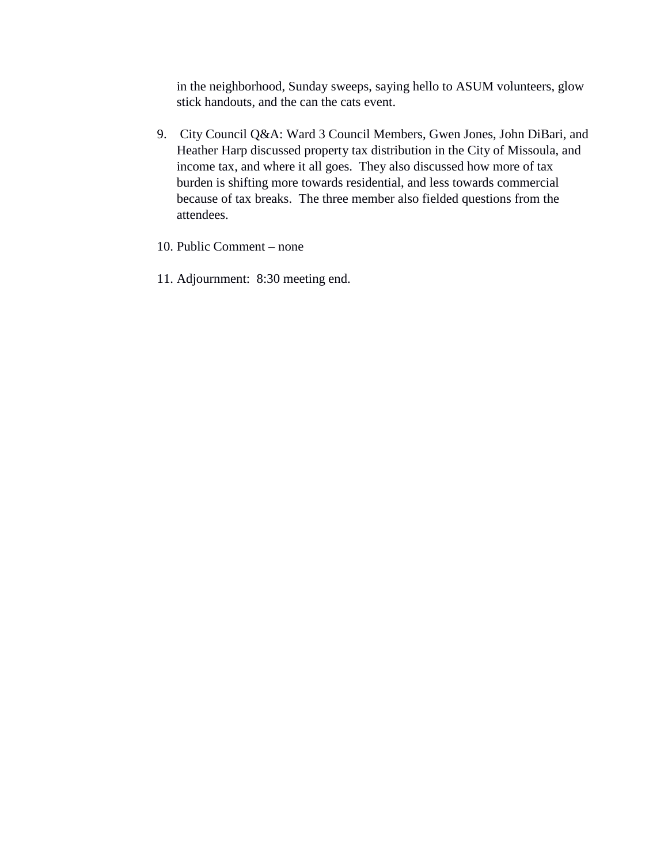in the neighborhood, Sunday sweeps, saying hello to ASUM volunteers, glow stick handouts, and the can the cats event.

- 9. City Council Q&A: Ward 3 Council Members, Gwen Jones, John DiBari, and Heather Harp discussed property tax distribution in the City of Missoula, and income tax, and where it all goes. They also discussed how more of tax burden is shifting more towards residential, and less towards commercial because of tax breaks. The three member also fielded questions from the attendees.
- 10. Public Comment none
- 11. Adjournment: 8:30 meeting end.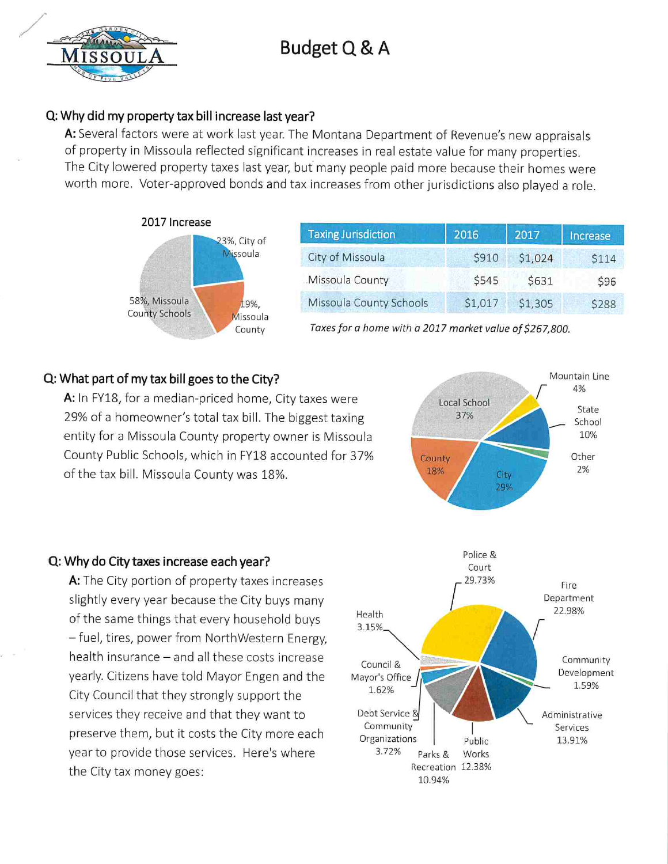# Budget Q & A

# Q: Why did my property tax bill increase last year?

A: Several factors were at work last year. The Montana Department of Revenue's new appraisals of property in Missoula reflected significant increases in real estate value for many properties. The City lowered property taxes last year, but many people paid more because their homes were worth more. Voter-approved bonds and tax increases from other jurisdictions also played a role.



| <b>Taxing Jurisdiction</b> | 2016    | 2017    | Increase |
|----------------------------|---------|---------|----------|
| City of Missoula           | \$910   | \$1,024 | \$114    |
| Missoula County            | \$545   | \$631   | \$96     |
| Missoula County Schools    | \$1,017 | \$1,305 | \$288    |

Taxes for a home with a 2017 market value of \$267,800.

### Q: What part of my tax bill goes to the City?

A: In FY18, for a median-priced home, City taxes were 29% of a homeowner's total tax bill. The biggest taxing entity for a Missoula County property owner is Missoula County Public Schools, which in FY18 accounted for 37% of the tax bill. Missoula County was 18%.

#### Q: Why do City taxes increase each year?

A: The City portion of property taxes increases slightly every year because the City buys many of the same things that every household buys - fuel, tires, power from NorthWestern Energy, health insurance - and all these costs increase yearly. Citizens have told Mayor Engen and the City Council that they strongly support the services they receive and that they want to preserve them, but it costs the City more each year to provide those services. Here's where the City tax money goes: